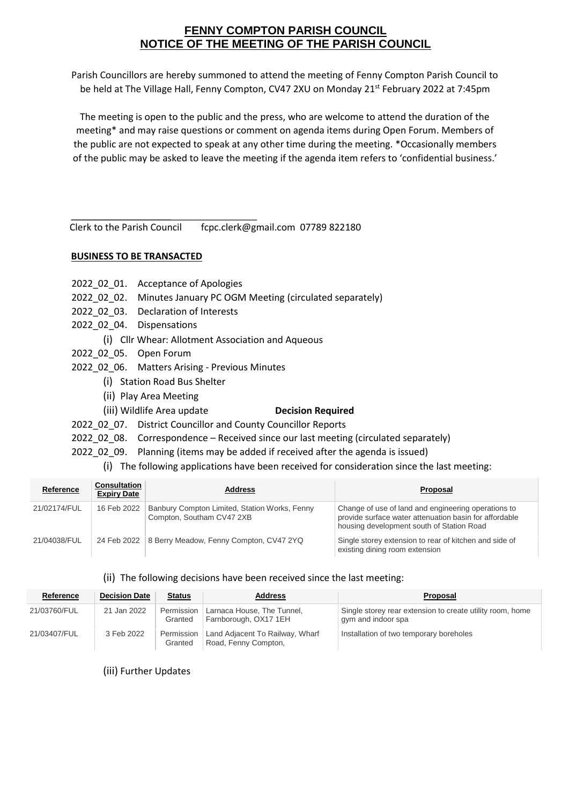## **FENNY COMPTON PARISH COUNCIL NOTICE OF THE MEETING OF THE PARISH COUNCIL**

Parish Councillors are hereby summoned to attend the meeting of Fenny Compton Parish Council to be held at The Village Hall, Fenny Compton, CV47 2XU on Monday 21<sup>st</sup> February 2022 at 7:45pm

The meeting is open to the public and the press, who are welcome to attend the duration of the meeting\* and may raise questions or comment on agenda items during Open Forum. Members of the public are not expected to speak at any other time during the meeting. \*Occasionally members of the public may be asked to leave the meeting if the agenda item refers to 'confidential business.'

Clerk to the Parish Council fcpc.clerk@gmail.com 07789 822180

## **BUSINESS TO BE TRANSACTED**

| 2022_02_01. Acceptance of Apologies |  |  |
|-------------------------------------|--|--|
|                                     |  |  |

- 2022\_02\_02. Minutes January PC OGM Meeting (circulated separately)
- 2022\_02\_03. Declaration of Interests
- 2022\_02\_04. Dispensations
	- (i) Cllr Whear: Allotment Association and Aqueous
- 2022\_02\_05. Open Forum
- 2022\_02\_06. Matters Arising Previous Minutes
	- (i) Station Road Bus Shelter
		- (ii) Play Area Meeting
	- (iii) Wildlife Area update **Decision Required**
- 2022\_02\_07. District Councillor and County Councillor Reports
- 2022\_02\_08. Correspondence Received since our last meeting (circulated separately)
- 2022 02 09. Planning (items may be added if received after the agenda is issued)
	- (i) The following applications have been received for consideration since the last meeting:

| Reference    | <b>Consultation</b><br><b>Expiry Date</b> | <b>Address</b>                                                             | Proposal                                                                                                                                                   |
|--------------|-------------------------------------------|----------------------------------------------------------------------------|------------------------------------------------------------------------------------------------------------------------------------------------------------|
| 21/02174/FUL | 16 Feb 2022                               | Banbury Compton Limited, Station Works, Fenny<br>Compton, Southam CV47 2XB | Change of use of land and engineering operations to<br>provide surface water attenuation basin for affordable<br>housing development south of Station Road |
| 21/04038/FUL |                                           | 24 Feb 2022 8 Berry Meadow, Fenny Compton, CV47 2YQ                        | Single storey extension to rear of kitchen and side of<br>existing dining room extension                                                                   |

## (ii) The following decisions have been received since the last meeting:

| Reference    | <b>Decision Date</b> | <b>Status</b>         | <b>Address</b>                                          | Proposal                                                                        |
|--------------|----------------------|-----------------------|---------------------------------------------------------|---------------------------------------------------------------------------------|
| 21/03760/FUL | 21 Jan 2022          | Permission<br>Granted | Larnaca House, The Tunnel,<br>Farnborough, OX17 1EH     | Single storey rear extension to create utility room, home<br>gym and indoor spa |
| 21/03407/FUL | 3 Feb 2022           | Permission<br>Granted | Land Adjacent To Railway, Wharf<br>Road, Fenny Compton, | Installation of two temporary boreholes                                         |

(iii) Further Updates